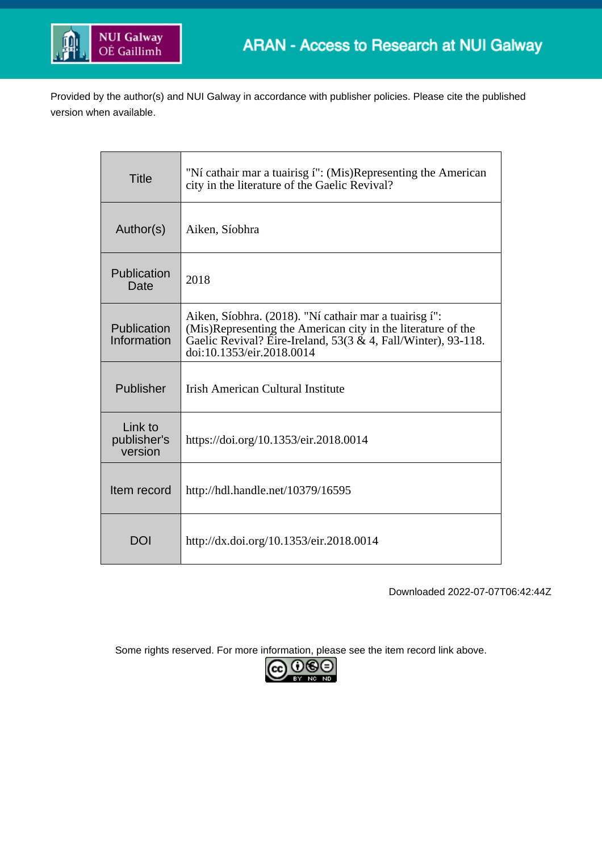

Provided by the author(s) and NUI Galway in accordance with publisher policies. Please cite the published version when available.

| <b>Title</b>                      | "Ní cathair mar a tuairisg í": (Mis)Representing the American<br>city in the literature of the Gaelic Revival?                                                                                                           |
|-----------------------------------|--------------------------------------------------------------------------------------------------------------------------------------------------------------------------------------------------------------------------|
| Author(s)                         | Aiken, Síobhra                                                                                                                                                                                                           |
| Publication<br>Date               | 2018                                                                                                                                                                                                                     |
| Publication<br>Information        | Aiken, Síobhra. (2018). "Ní cathair mar a tuairisg í":<br>(Mis)Representing the American city in the literature of the<br>Gaelic Revival? Eire-Ireland, $53(3 \& 4$ , Fall/Winter), 93-118.<br>doi:10.1353/eir.2018.0014 |
| Publisher                         | <b>Irish American Cultural Institute</b>                                                                                                                                                                                 |
| Link to<br>publisher's<br>version | https://doi.org/10.1353/eir.2018.0014                                                                                                                                                                                    |
| Item record                       | http://hdl.handle.net/10379/16595                                                                                                                                                                                        |
| DOI                               | http://dx.doi.org/10.1353/eir.2018.0014                                                                                                                                                                                  |

Downloaded 2022-07-07T06:42:44Z

Some rights reserved. For more information, please see the item record link above.

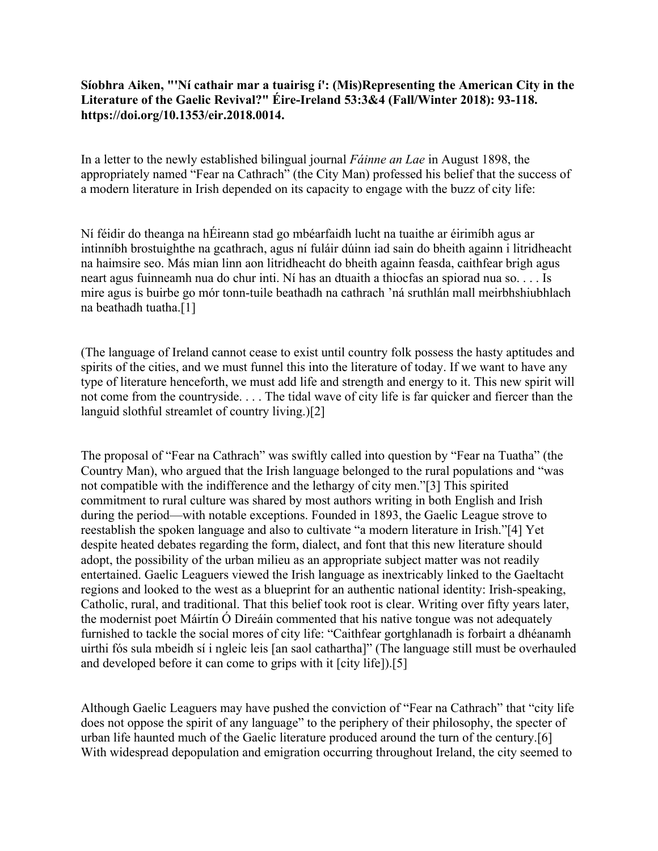### **Síobhra Aiken, "'Ní cathair mar a tuairisg í': (Mis)Representing the American City in the Literature of the Gaelic Revival?" Éire-Ireland 53:3&4 (Fall/Winter 2018): 93-118. https://doi.org/10.1353/eir.2018.0014.**

In a letter to the newly established bilingual journal *Fáinne an Lae* in August 1898, the appropriately named "Fear na Cathrach" (the City Man) professed his belief that the success of a modern literature in Irish depended on its capacity to engage with the buzz of city life:

Ní féidir do theanga na hÉireann stad go mbéarfaidh lucht na tuaithe ar éirimíbh agus ar intinníbh brostuighthe na gcathrach, agus ní fuláir dúinn iad sain do bheith againn i litridheacht na haimsire seo. Más mian linn aon litridheacht do bheith againn feasda, caithfear brigh agus neart agus fuinneamh nua do chur inti. Ní has an dtuaith a thiocfas an spiorad nua so. . . . Is mire agus is buirbe go mór tonn-tuile beathadh na cathrach 'ná sruthlán mall meirbhshiubhlach na beathadh tuatha.[1]

(The language of Ireland cannot cease to exist until country folk possess the hasty aptitudes and spirits of the cities, and we must funnel this into the literature of today. If we want to have any type of literature henceforth, we must add life and strength and energy to it. This new spirit will not come from the countryside. . . . The tidal wave of city life is far quicker and fiercer than the languid slothful streamlet of country living.)[2]

The proposal of "Fear na Cathrach" was swiftly called into question by "Fear na Tuatha" (the Country Man), who argued that the Irish language belonged to the rural populations and "was not compatible with the indifference and the lethargy of city men."[3] This spirited commitment to rural culture was shared by most authors writing in both English and Irish during the period—with notable exceptions. Founded in 1893, the Gaelic League strove to reestablish the spoken language and also to cultivate "a modern literature in Irish."[4] Yet despite heated debates regarding the form, dialect, and font that this new literature should adopt, the possibility of the urban milieu as an appropriate subject matter was not readily entertained. Gaelic Leaguers viewed the Irish language as inextricably linked to the Gaeltacht regions and looked to the west as a blueprint for an authentic national identity: Irish-speaking, Catholic, rural, and traditional. That this belief took root is clear. Writing over fifty years later, the modernist poet Máirtín Ó Direáin commented that his native tongue was not adequately furnished to tackle the social mores of city life: "Caithfear gortghlanadh is forbairt a dhéanamh uirthi fós sula mbeidh sí i ngleic leis [an saol cathartha]" (The language still must be overhauled and developed before it can come to grips with it [city life]).[5]

Although Gaelic Leaguers may have pushed the conviction of "Fear na Cathrach" that "city life does not oppose the spirit of any language" to the periphery of their philosophy, the specter of urban life haunted much of the Gaelic literature produced around the turn of the century.[6] With widespread depopulation and emigration occurring throughout Ireland, the city seemed to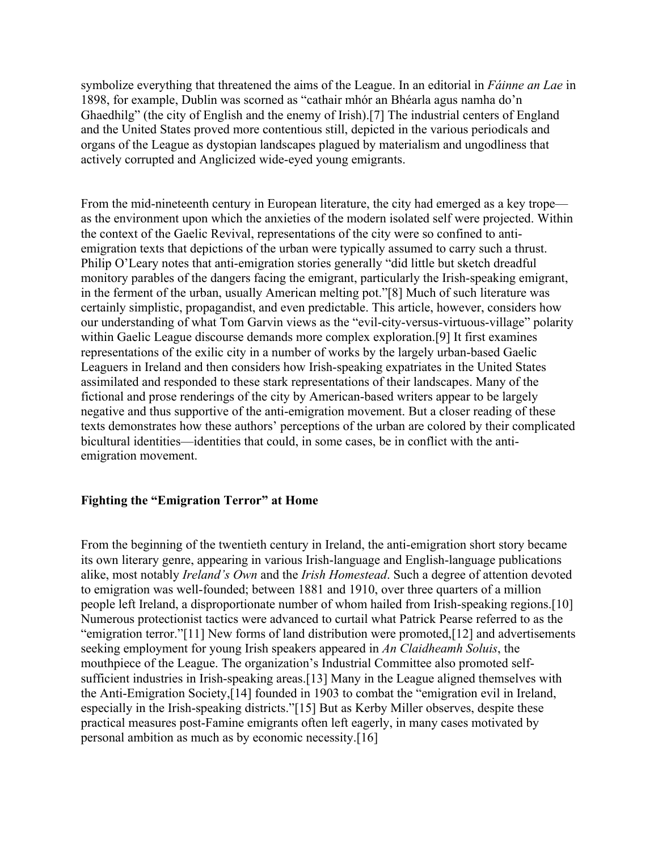symbolize everything that threatened the aims of the League. In an editorial in *Fáinne an Lae* in 1898, for example, Dublin was scorned as "cathair mhór an Bhéarla agus namha do'n Ghaedhilg" (the city of English and the enemy of Irish).[7] The industrial centers of England and the United States proved more contentious still, depicted in the various periodicals and organs of the League as dystopian landscapes plagued by materialism and ungodliness that actively corrupted and Anglicized wide-eyed young emigrants.

From the mid-nineteenth century in European literature, the city had emerged as a key trope as the environment upon which the anxieties of the modern isolated self were projected. Within the context of the Gaelic Revival, representations of the city were so confined to antiemigration texts that depictions of the urban were typically assumed to carry such a thrust. Philip O'Leary notes that anti-emigration stories generally "did little but sketch dreadful monitory parables of the dangers facing the emigrant, particularly the Irish-speaking emigrant, in the ferment of the urban, usually American melting pot."[8] Much of such literature was certainly simplistic, propagandist, and even predictable. This article, however, considers how our understanding of what Tom Garvin views as the "evil-city-versus-virtuous-village" polarity within Gaelic League discourse demands more complex exploration.[9] It first examines representations of the exilic city in a number of works by the largely urban-based Gaelic Leaguers in Ireland and then considers how Irish-speaking expatriates in the United States assimilated and responded to these stark representations of their landscapes. Many of the fictional and prose renderings of the city by American-based writers appear to be largely negative and thus supportive of the anti-emigration movement. But a closer reading of these texts demonstrates how these authors' perceptions of the urban are colored by their complicated bicultural identities—identities that could, in some cases, be in conflict with the antiemigration movement.

#### **Fighting the "Emigration Terror" at Home**

From the beginning of the twentieth century in Ireland, the anti-emigration short story became its own literary genre, appearing in various Irish-language and English-language publications alike, most notably *Ireland's Own* and the *Irish Homestead*. Such a degree of attention devoted to emigration was well-founded; between 1881 and 1910, over three quarters of a million people left Ireland, a disproportionate number of whom hailed from Irish-speaking regions.[10] Numerous protectionist tactics were advanced to curtail what Patrick Pearse referred to as the "emigration terror."[11] New forms of land distribution were promoted,[12] and advertisements seeking employment for young Irish speakers appeared in *An Claidheamh Soluis*, the mouthpiece of the League. The organization's Industrial Committee also promoted selfsufficient industries in Irish-speaking areas.[13] Many in the League aligned themselves with the Anti-Emigration Society,[14] founded in 1903 to combat the "emigration evil in Ireland, especially in the Irish-speaking districts."[15] But as Kerby Miller observes, despite these practical measures post-Famine emigrants often left eagerly, in many cases motivated by personal ambition as much as by economic necessity.[16]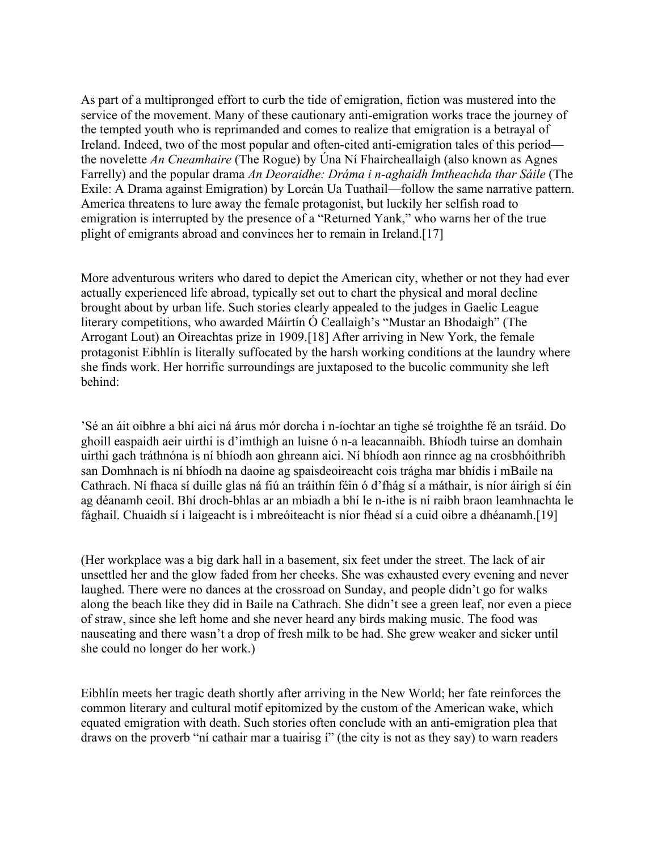As part of a multipronged effort to curb the tide of emigration, fiction was mustered into the service of the movement. Many of these cautionary anti-emigration works trace the journey of the tempted youth who is reprimanded and comes to realize that emigration is a betrayal of Ireland. Indeed, two of the most popular and often-cited anti-emigration tales of this period the novelette *An Cneamhaire* (The Rogue) by Úna Ní Fhaircheallaigh (also known as Agnes Farrelly) and the popular drama *An Deoraidhe: Dráma i n-aghaidh Imtheachda thar Sáile* (The Exile: A Drama against Emigration) by Lorcán Ua Tuathail—follow the same narrative pattern. America threatens to lure away the female protagonist, but luckily her selfish road to emigration is interrupted by the presence of a "Returned Yank," who warns her of the true plight of emigrants abroad and convinces her to remain in Ireland.[17]

More adventurous writers who dared to depict the American city, whether or not they had ever actually experienced life abroad, typically set out to chart the physical and moral decline brought about by urban life. Such stories clearly appealed to the judges in Gaelic League literary competitions, who awarded Máirtín Ó Ceallaigh's "Mustar an Bhodaigh" (The Arrogant Lout) an Oireachtas prize in 1909.[18] After arriving in New York, the female protagonist Eibhlín is literally suffocated by the harsh working conditions at the laundry where she finds work. Her horrific surroundings are juxtaposed to the bucolic community she left behind:

'Sé an áit oibhre a bhí aici ná árus mór dorcha i n-íochtar an tighe sé troighthe fé an tsráid. Do ghoill easpaidh aeir uirthi is d'imthigh an luisne ó n-a leacannaibh. Bhíodh tuirse an domhain uirthi gach tráthnóna is ní bhíodh aon ghreann aici. Ní bhíodh aon rinnce ag na crosbhóithribh san Domhnach is ní bhíodh na daoine ag spaisdeoireacht cois trágha mar bhídis i mBaile na Cathrach. Ní fhaca sí duille glas ná fiú an tráithín féin ó d'fhág sí a máthair, is níor áirigh sí éin ag déanamh ceoil. Bhí droch-bhlas ar an mbiadh a bhí le n-ithe is ní raibh braon leamhnachta le fághail. Chuaidh sí i laigeacht is i mbreóiteacht is níor fhéad sí a cuid oibre a dhéanamh.[19]

(Her workplace was a big dark hall in a basement, six feet under the street. The lack of air unsettled her and the glow faded from her cheeks. She was exhausted every evening and never laughed. There were no dances at the crossroad on Sunday, and people didn't go for walks along the beach like they did in Baile na Cathrach. She didn't see a green leaf, nor even a piece of straw, since she left home and she never heard any birds making music. The food was nauseating and there wasn't a drop of fresh milk to be had. She grew weaker and sicker until she could no longer do her work.)

Eibhlín meets her tragic death shortly after arriving in the New World; her fate reinforces the common literary and cultural motif epitomized by the custom of the American wake, which equated emigration with death. Such stories often conclude with an anti-emigration plea that draws on the proverb "ní cathair mar a tuairisg í" (the city is not as they say) to warn readers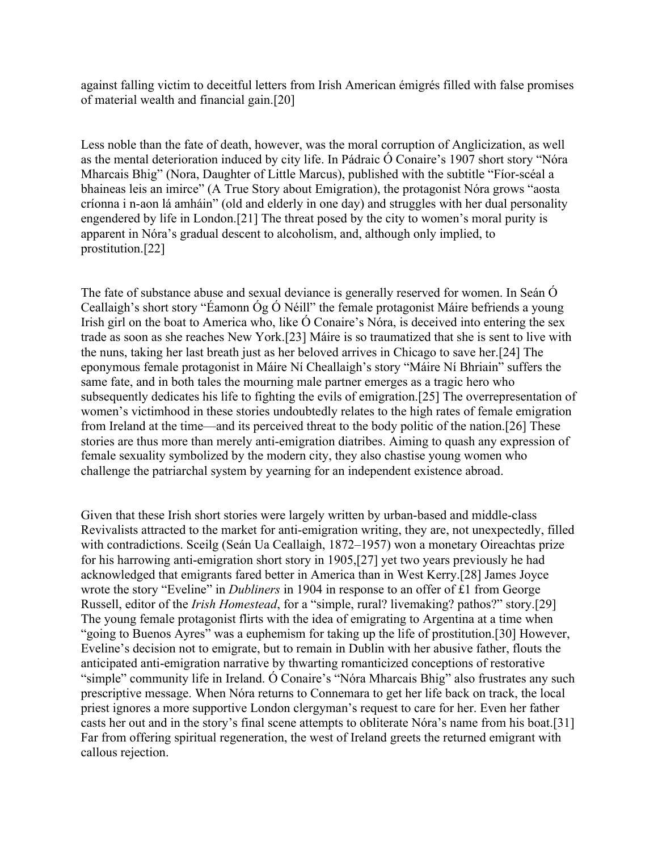against falling victim to deceitful letters from Irish American émigrés filled with false promises of material wealth and financial gain.[20]

Less noble than the fate of death, however, was the moral corruption of Anglicization, as well as the mental deterioration induced by city life. In Pádraic Ó Conaire's 1907 short story "Nóra Mharcais Bhig" (Nora, Daughter of Little Marcus), published with the subtitle "Fíor-scéal a bhaineas leis an imirce" (A True Story about Emigration), the protagonist Nóra grows "aosta críonna i n-aon lá amháin" (old and elderly in one day) and struggles with her dual personality engendered by life in London.[21] The threat posed by the city to women's moral purity is apparent in Nóra's gradual descent to alcoholism, and, although only implied, to prostitution.[22]

The fate of substance abuse and sexual deviance is generally reserved for women. In Seán Ó Ceallaigh's short story "Éamonn Óg Ó Néill" the female protagonist Máire befriends a young Irish girl on the boat to America who, like  $\acute{o}$  Conaire's Nóra, is deceived into entering the sex trade as soon as she reaches New York.[23] Máire is so traumatized that she is sent to live with the nuns, taking her last breath just as her beloved arrives in Chicago to save her.[24] The eponymous female protagonist in Máire Ní Cheallaigh's story "Máire Ní Bhriain" suffers the same fate, and in both tales the mourning male partner emerges as a tragic hero who subsequently dedicates his life to fighting the evils of emigration.[25] The overrepresentation of women's victimhood in these stories undoubtedly relates to the high rates of female emigration from Ireland at the time—and its perceived threat to the body politic of the nation.[26] These stories are thus more than merely anti-emigration diatribes. Aiming to quash any expression of female sexuality symbolized by the modern city, they also chastise young women who challenge the patriarchal system by yearning for an independent existence abroad.

Given that these Irish short stories were largely written by urban-based and middle-class Revivalists attracted to the market for anti-emigration writing, they are, not unexpectedly, filled with contradictions. Sceilg (Seán Ua Ceallaigh, 1872–1957) won a monetary Oireachtas prize for his harrowing anti-emigration short story in 1905,[27] yet two years previously he had acknowledged that emigrants fared better in America than in West Kerry.[28] James Joyce wrote the story "Eveline" in *Dubliners* in 1904 in response to an offer of £1 from George Russell, editor of the *Irish Homestead*, for a "simple, rural? livemaking? pathos?" story.[29] The young female protagonist flirts with the idea of emigrating to Argentina at a time when "going to Buenos Ayres" was a euphemism for taking up the life of prostitution.[30] However, Eveline's decision not to emigrate, but to remain in Dublin with her abusive father, flouts the anticipated anti-emigration narrative by thwarting romanticized conceptions of restorative "simple" community life in Ireland. Ó Conaire's "Nóra Mharcais Bhig" also frustrates any such prescriptive message. When Nóra returns to Connemara to get her life back on track, the local priest ignores a more supportive London clergyman's request to care for her. Even her father casts her out and in the story's final scene attempts to obliterate Nóra's name from his boat.[31] Far from offering spiritual regeneration, the west of Ireland greets the returned emigrant with callous rejection.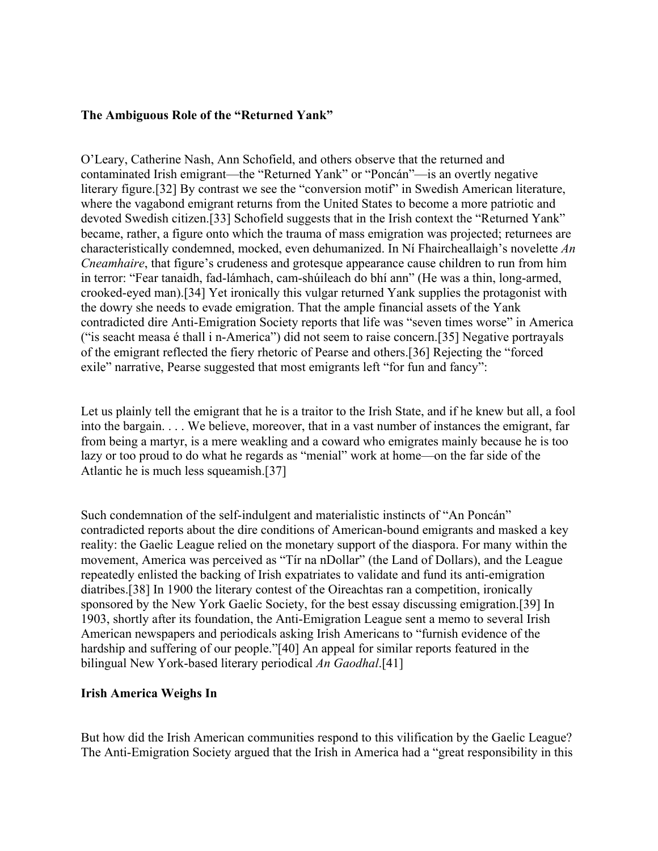#### **The Ambiguous Role of the "Returned Yank"**

O'Leary, Catherine Nash, Ann Schofield, and others observe that the returned and contaminated Irish emigrant—the "Returned Yank" or "Poncán"—is an overtly negative literary figure.<sup>[32]</sup> By contrast we see the "conversion motif" in Swedish American literature, where the vagabond emigrant returns from the United States to become a more patriotic and devoted Swedish citizen.[33] Schofield suggests that in the Irish context the "Returned Yank" became, rather, a figure onto which the trauma of mass emigration was projected; returnees are characteristically condemned, mocked, even dehumanized. In Ní Fhaircheallaigh's novelette *An Cneamhaire*, that figure's crudeness and grotesque appearance cause children to run from him in terror: "Fear tanaidh, fad-lámhach, cam-shúileach do bhí ann" (He was a thin, long-armed, crooked-eyed man).[34] Yet ironically this vulgar returned Yank supplies the protagonist with the dowry she needs to evade emigration. That the ample financial assets of the Yank contradicted dire Anti-Emigration Society reports that life was "seven times worse" in America ("is seacht measa é thall i n-America") did not seem to raise concern.[35] Negative portrayals of the emigrant reflected the fiery rhetoric of Pearse and others.[36] Rejecting the "forced exile" narrative, Pearse suggested that most emigrants left "for fun and fancy":

Let us plainly tell the emigrant that he is a traitor to the Irish State, and if he knew but all, a fool into the bargain. . . . We believe, moreover, that in a vast number of instances the emigrant, far from being a martyr, is a mere weakling and a coward who emigrates mainly because he is too lazy or too proud to do what he regards as "menial" work at home—on the far side of the Atlantic he is much less squeamish.[37]

Such condemnation of the self-indulgent and materialistic instincts of "An Poncán" contradicted reports about the dire conditions of American-bound emigrants and masked a key reality: the Gaelic League relied on the monetary support of the diaspora. For many within the movement, America was perceived as "Tír na nDollar" (the Land of Dollars), and the League repeatedly enlisted the backing of Irish expatriates to validate and fund its anti-emigration diatribes.[38] In 1900 the literary contest of the Oireachtas ran a competition, ironically sponsored by the New York Gaelic Society, for the best essay discussing emigration.[39] In 1903, shortly after its foundation, the Anti-Emigration League sent a memo to several Irish American newspapers and periodicals asking Irish Americans to "furnish evidence of the hardship and suffering of our people."[40] An appeal for similar reports featured in the bilingual New York-based literary periodical *An Gaodhal*.[41]

#### **Irish America Weighs In**

But how did the Irish American communities respond to this vilification by the Gaelic League? The Anti-Emigration Society argued that the Irish in America had a "great responsibility in this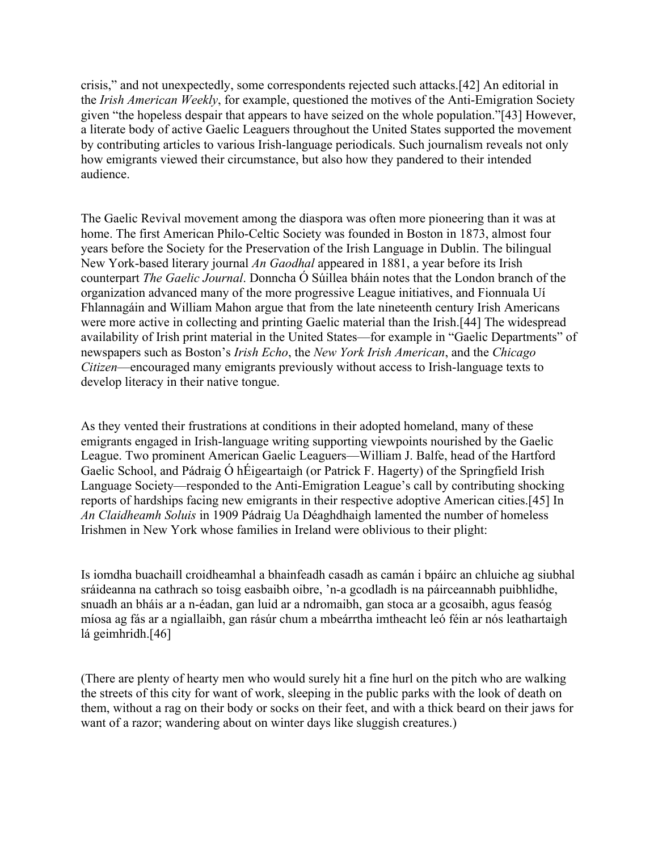crisis," and not unexpectedly, some correspondents rejected such attacks.[42] An editorial in the *Irish American Weekly*, for example, questioned the motives of the Anti-Emigration Society given "the hopeless despair that appears to have seized on the whole population."[43] However, a literate body of active Gaelic Leaguers throughout the United States supported the movement by contributing articles to various Irish-language periodicals. Such journalism reveals not only how emigrants viewed their circumstance, but also how they pandered to their intended audience.

The Gaelic Revival movement among the diaspora was often more pioneering than it was at home. The first American Philo-Celtic Society was founded in Boston in 1873, almost four years before the Society for the Preservation of the Irish Language in Dublin. The bilingual New York-based literary journal *An Gaodhal* appeared in 1881, a year before its Irish counterpart *The Gaelic Journal*. Donncha Ó Súillea bháin notes that the London branch of the organization advanced many of the more progressive League initiatives, and Fionnuala Uí Fhlannagáin and William Mahon argue that from the late nineteenth century Irish Americans were more active in collecting and printing Gaelic material than the Irish.[44] The widespread availability of Irish print material in the United States—for example in "Gaelic Departments" of newspapers such as Boston's *Irish Echo*, the *New York Irish American*, and the *Chicago Citizen*—encouraged many emigrants previously without access to Irish-language texts to develop literacy in their native tongue.

As they vented their frustrations at conditions in their adopted homeland, many of these emigrants engaged in Irish-language writing supporting viewpoints nourished by the Gaelic League. Two prominent American Gaelic Leaguers—William J. Balfe, head of the Hartford Gaelic School, and Pádraig Ó hÉigeartaigh (or Patrick F. Hagerty) of the Springfield Irish Language Society—responded to the Anti-Emigration League's call by contributing shocking reports of hardships facing new emigrants in their respective adoptive American cities.[45] In *An Claidheamh Soluis* in 1909 Pádraig Ua Déaghdhaigh lamented the number of homeless Irishmen in New York whose families in Ireland were oblivious to their plight:

Is iomdha buachaill croidheamhal a bhainfeadh casadh as camán i bpáirc an chluiche ag siubhal sráideanna na cathrach so toisg easbaibh oibre, 'n-a gcodladh is na páirceannabh puibhlidhe, snuadh an bháis ar a n-éadan, gan luid ar a ndromaibh, gan stoca ar a gcosaibh, agus feasóg míosa ag fás ar a ngiallaibh, gan rásúr chum a mbeárrtha imtheacht leó féin ar nós leathartaigh lá geimhridh.[46]

(There are plenty of hearty men who would surely hit a fine hurl on the pitch who are walking the streets of this city for want of work, sleeping in the public parks with the look of death on them, without a rag on their body or socks on their feet, and with a thick beard on their jaws for want of a razor; wandering about on winter days like sluggish creatures.)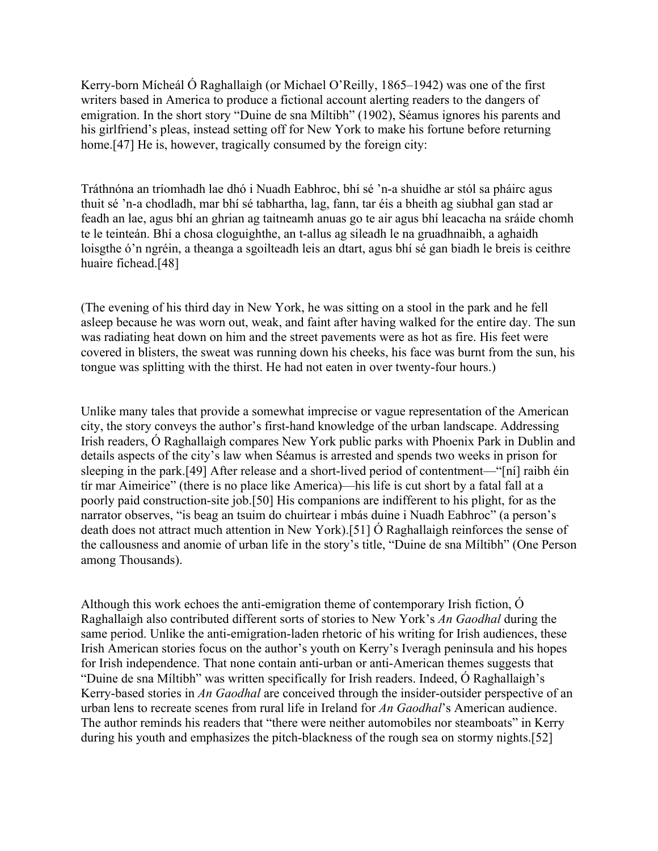Kerry-born Mícheál Ó Raghallaigh (or Michael O'Reilly, 1865–1942) was one of the first writers based in America to produce a fictional account alerting readers to the dangers of emigration. In the short story "Duine de sna Míltibh" (1902), Séamus ignores his parents and his girlfriend's pleas, instead setting off for New York to make his fortune before returning home.<sup>[47]</sup> He is, however, tragically consumed by the foreign city:

Tráthnóna an tríomhadh lae dhó i Nuadh Eabhroc, bhí sé 'n-a shuidhe ar stól sa pháirc agus thuit sé 'n-a chodladh, mar bhí sé tabhartha, lag, fann, tar éis a bheith ag siubhal gan stad ar feadh an lae, agus bhí an ghrian ag taitneamh anuas go te air agus bhí leacacha na sráide chomh te le teinteán. Bhí a chosa cloguighthe, an t-allus ag sileadh le na gruadhnaibh, a aghaidh loisgthe ó'n ngréin, a theanga a sgoilteadh leis an dtart, agus bhí sé gan biadh le breis is ceithre huaire fichead.[48]

(The evening of his third day in New York, he was sitting on a stool in the park and he fell asleep because he was worn out, weak, and faint after having walked for the entire day. The sun was radiating heat down on him and the street pavements were as hot as fire. His feet were covered in blisters, the sweat was running down his cheeks, his face was burnt from the sun, his tongue was splitting with the thirst. He had not eaten in over twenty-four hours.)

Unlike many tales that provide a somewhat imprecise or vague representation of the American city, the story conveys the author's first-hand knowledge of the urban landscape. Addressing Irish readers, Ó Raghallaigh compares New York public parks with Phoenix Park in Dublin and details aspects of the city's law when Séamus is arrested and spends two weeks in prison for sleeping in the park.[49] After release and a short-lived period of contentment—"[ní] raibh éin tír mar Aimeirice" (there is no place like America)—his life is cut short by a fatal fall at a poorly paid construction-site job.[50] His companions are indifferent to his plight, for as the narrator observes, "is beag an tsuim do chuirtear i mbás duine i Nuadh Eabhroc" (a person's death does not attract much attention in New York).[51] Ó Raghallaigh reinforces the sense of the callousness and anomie of urban life in the story's title, "Duine de sna Míltibh" (One Person among Thousands).

Although this work echoes the anti-emigration theme of contemporary Irish fiction,  $\acute{O}$ Raghallaigh also contributed different sorts of stories to New York's *An Gaodhal* during the same period. Unlike the anti-emigration-laden rhetoric of his writing for Irish audiences, these Irish American stories focus on the author's youth on Kerry's Iveragh peninsula and his hopes for Irish independence. That none contain anti-urban or anti-American themes suggests that "Duine de sna Míltibh" was written specifically for Irish readers. Indeed, Ó Raghallaigh's Kerry-based stories in *An Gaodhal* are conceived through the insider-outsider perspective of an urban lens to recreate scenes from rural life in Ireland for *An Gaodhal*'s American audience. The author reminds his readers that "there were neither automobiles nor steamboats" in Kerry during his youth and emphasizes the pitch-blackness of the rough sea on stormy nights.[52]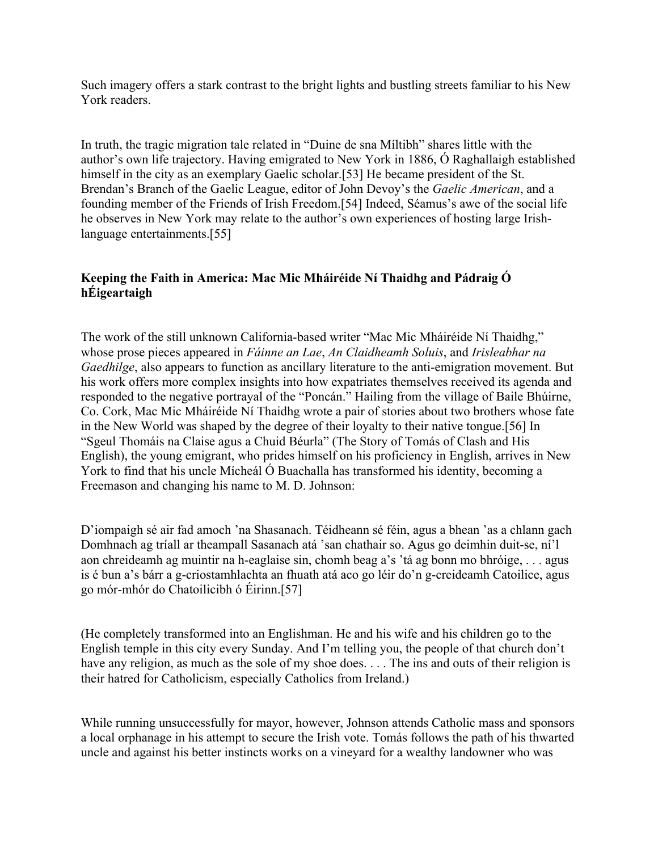Such imagery offers a stark contrast to the bright lights and bustling streets familiar to his New York readers.

In truth, the tragic migration tale related in "Duine de sna Míltibh" shares little with the author's own life trajectory. Having emigrated to New York in 1886, Ó Raghallaigh established himself in the city as an exemplary Gaelic scholar.[53] He became president of the St. Brendan's Branch of the Gaelic League, editor of John Devoy's the *Gaelic American*, and a founding member of the Friends of Irish Freedom.[54] Indeed, Séamus's awe of the social life he observes in New York may relate to the author's own experiences of hosting large Irishlanguage entertainments.[55]

## **Keeping the Faith in America: Mac Mic Mháiréide Ní Thaidhg and Pádraig Ó hÉigeartaigh**

The work of the still unknown California-based writer "Mac Mic Mháiréide Ní Thaidhg," whose prose pieces appeared in *Fáinne an Lae*, *An Claidheamh Soluis*, and *Irisleabhar na Gaedhilge*, also appears to function as ancillary literature to the anti-emigration movement. But his work offers more complex insights into how expatriates themselves received its agenda and responded to the negative portrayal of the "Poncán." Hailing from the village of Baile Bhúirne, Co. Cork, Mac Mic Mháiréide Ní Thaidhg wrote a pair of stories about two brothers whose fate in the New World was shaped by the degree of their loyalty to their native tongue.[56] In "Sgeul Thomáis na Claise agus a Chuid Béurla" (The Story of Tomás of Clash and His English), the young emigrant, who prides himself on his proficiency in English, arrives in New York to find that his uncle Mícheál Ó Buachalla has transformed his identity, becoming a Freemason and changing his name to M. D. Johnson:

D'iompaigh sé air fad amoch 'na Shasanach. Téidheann sé féin, agus a bhean 'as a chlann gach Domhnach ag tríall ar theampall Sasanach atá 'san chathair so. Agus go deimhin duit-se, ní'l aon chreideamh ag muintir na h-eaglaise sin, chomh beag a's 'tá ag bonn mo bhróige, . . . agus is é bun a's bárr a g-criostamhlachta an fhuath atá aco go léir do'n g-creideamh Catoilice, agus go mór-mhór do Chatoilicibh ó Éirinn.[57]

(He completely transformed into an Englishman. He and his wife and his children go to the English temple in this city every Sunday. And I'm telling you, the people of that church don't have any religion, as much as the sole of my shoe does. . . . The ins and outs of their religion is their hatred for Catholicism, especially Catholics from Ireland.)

While running unsuccessfully for mayor, however, Johnson attends Catholic mass and sponsors a local orphanage in his attempt to secure the Irish vote. Tomás follows the path of his thwarted uncle and against his better instincts works on a vineyard for a wealthy landowner who was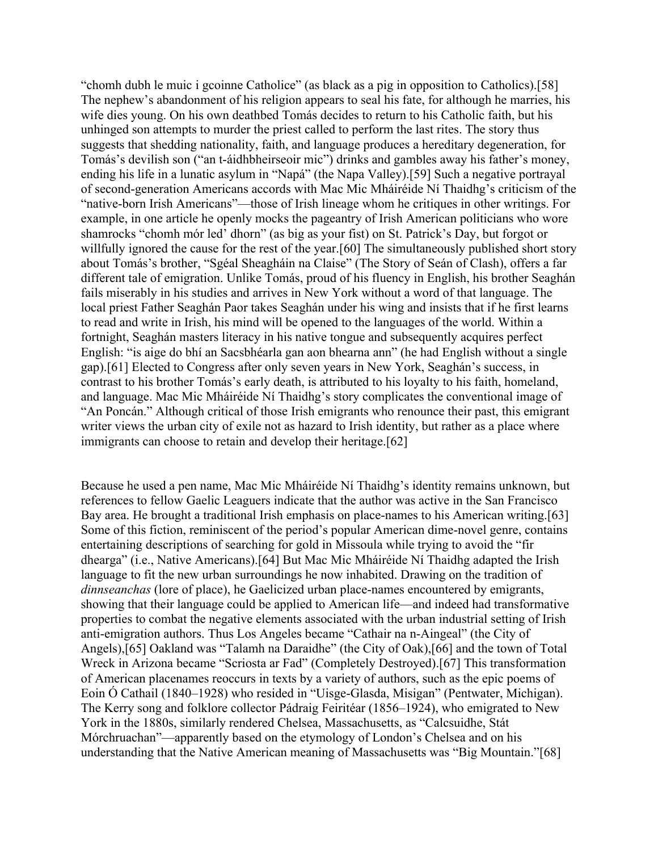"chomh dubh le muic i gcoinne Catholice" (as black as a pig in opposition to Catholics).[58] The nephew's abandonment of his religion appears to seal his fate, for although he marries, his wife dies young. On his own deathbed Tomás decides to return to his Catholic faith, but his unhinged son attempts to murder the priest called to perform the last rites. The story thus suggests that shedding nationality, faith, and language produces a hereditary degeneration, for Tomás's devilish son ("an t-áidhbheirseoir mic") drinks and gambles away his father's money, ending his life in a lunatic asylum in "Napá" (the Napa Valley).[59] Such a negative portrayal of second-generation Americans accords with Mac Mic Mháiréide Ní Thaidhg's criticism of the "native-born Irish Americans"—those of Irish lineage whom he critiques in other writings. For example, in one article he openly mocks the pageantry of Irish American politicians who wore shamrocks "chomh mór led' dhorn" (as big as your fist) on St. Patrick's Day, but forgot or willfully ignored the cause for the rest of the year.<sup>[60]</sup> The simultaneously published short story about Tomás's brother, "Sgéal Sheagháin na Claise" (The Story of Seán of Clash), offers a far different tale of emigration. Unlike Tomás, proud of his fluency in English, his brother Seaghán fails miserably in his studies and arrives in New York without a word of that language. The local priest Father Seaghán Paor takes Seaghán under his wing and insists that if he first learns to read and write in Irish, his mind will be opened to the languages of the world. Within a fortnight, Seaghán masters literacy in his native tongue and subsequently acquires perfect English: "is aige do bhí an Sacsbhéarla gan aon bhearna ann" (he had English without a single gap).[61] Elected to Congress after only seven years in New York, Seaghán's success, in contrast to his brother Tomás's early death, is attributed to his loyalty to his faith, homeland, and language. Mac Mic Mháiréide Ní Thaidhg's story complicates the conventional image of "An Poncán." Although critical of those Irish emigrants who renounce their past, this emigrant writer views the urban city of exile not as hazard to Irish identity, but rather as a place where immigrants can choose to retain and develop their heritage.[62]

Because he used a pen name, Mac Mic Mháiréide Ní Thaidhg's identity remains unknown, but references to fellow Gaelic Leaguers indicate that the author was active in the San Francisco Bay area. He brought a traditional Irish emphasis on place-names to his American writing.[63] Some of this fiction, reminiscent of the period's popular American dime-novel genre, contains entertaining descriptions of searching for gold in Missoula while trying to avoid the "fir dhearga" (i.e., Native Americans).[64] But Mac Mic Mháiréide Ní Thaidhg adapted the Irish language to fit the new urban surroundings he now inhabited. Drawing on the tradition of *dinnseanchas* (lore of place), he Gaelicized urban place-names encountered by emigrants, showing that their language could be applied to American life—and indeed had transformative properties to combat the negative elements associated with the urban industrial setting of Irish anti-emigration authors. Thus Los Angeles became "Cathair na n-Aingeal" (the City of Angels),[65] Oakland was "Talamh na Daraidhe" (the City of Oak),[66] and the town of Total Wreck in Arizona became "Scriosta ar Fad" (Completely Destroyed).[67] This transformation of American placenames reoccurs in texts by a variety of authors, such as the epic poems of Eoin Ó Cathail (1840–1928) who resided in "Uisge-Glasda, Misigan" (Pentwater, Michigan). The Kerry song and folklore collector Pádraig Feiritéar (1856–1924), who emigrated to New York in the 1880s, similarly rendered Chelsea, Massachusetts, as "Calcsuidhe, Stát Mórchruachan"—apparently based on the etymology of London's Chelsea and on his understanding that the Native American meaning of Massachusetts was "Big Mountain."[68]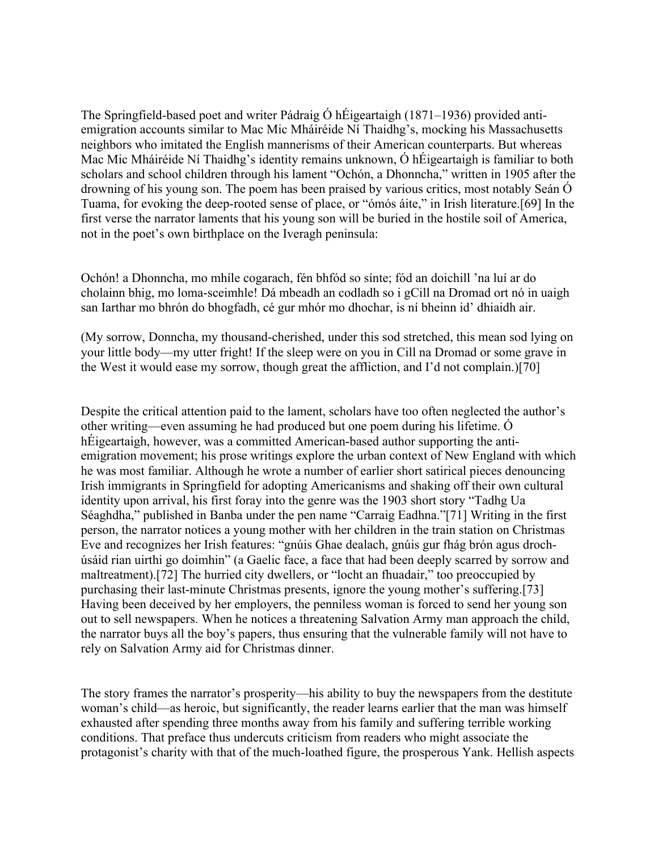The Springfield-based poet and writer Pádraig Ó hÉigeartaigh (1871–1936) provided antiemigration accounts similar to Mac Mic Mháiréide Ní Thaidhg's, mocking his Massachusetts neighbors who imitated the English mannerisms of their American counterparts. But whereas Mac Mic Mháiréide Ní Thaidhg's identity remains unknown, Ó hÉigeartaigh is familiar to both scholars and school children through his lament "Ochón, a Dhonncha," written in 1905 after the drowning of his young son. The poem has been praised by various critics, most notably Seán  $\dot{O}$ Tuama, for evoking the deep-rooted sense of place, or "ómós áite," in Irish literature.[69] In the first verse the narrator laments that his young son will be buried in the hostile soil of America, not in the poet's own birthplace on the Iveragh peninsula:

Ochón! a Dhonncha, mo mhíle cogarach, fén bhfód so sínte; fód an doichill 'na luí ar do cholainn bhig, mo loma-sceimhle! Dá mbeadh an codladh so i gCill na Dromad ort nó in uaigh san Iarthar mo bhrón do bhogfadh, cé gur mhór mo dhochar, is ní bheinn id' dhiaidh air.

(My sorrow, Donncha, my thousand-cherished, under this sod stretched, this mean sod lying on your little body—my utter fright! If the sleep were on you in Cill na Dromad or some grave in the West it would ease my sorrow, though great the affliction, and I'd not complain.)[70]

Despite the critical attention paid to the lament, scholars have too often neglected the author's other writing—even assuming he had produced but one poem during his lifetime. Ó hÉigeartaigh, however, was a committed American-based author supporting the antiemigration movement; his prose writings explore the urban context of New England with which he was most familiar. Although he wrote a number of earlier short satirical pieces denouncing Irish immigrants in Springfield for adopting Americanisms and shaking off their own cultural identity upon arrival, his first foray into the genre was the 1903 short story "Tadhg Ua Séaghdha," published in Banba under the pen name "Carraig Eadhna."[71] Writing in the first person, the narrator notices a young mother with her children in the train station on Christmas Eve and recognizes her Irish features: "gnúis Ghae dealach, gnúis gur fhág brón agus drochúsáid rian uirthi go doimhin" (a Gaelic face, a face that had been deeply scarred by sorrow and maltreatment).[72] The hurried city dwellers, or "locht an fhuadair," too preoccupied by purchasing their last-minute Christmas presents, ignore the young mother's suffering.[73] Having been deceived by her employers, the penniless woman is forced to send her young son out to sell newspapers. When he notices a threatening Salvation Army man approach the child, the narrator buys all the boy's papers, thus ensuring that the vulnerable family will not have to rely on Salvation Army aid for Christmas dinner.

The story frames the narrator's prosperity—his ability to buy the newspapers from the destitute woman's child—as heroic, but significantly, the reader learns earlier that the man was himself exhausted after spending three months away from his family and suffering terrible working conditions. That preface thus undercuts criticism from readers who might associate the protagonist's charity with that of the much-loathed figure, the prosperous Yank. Hellish aspects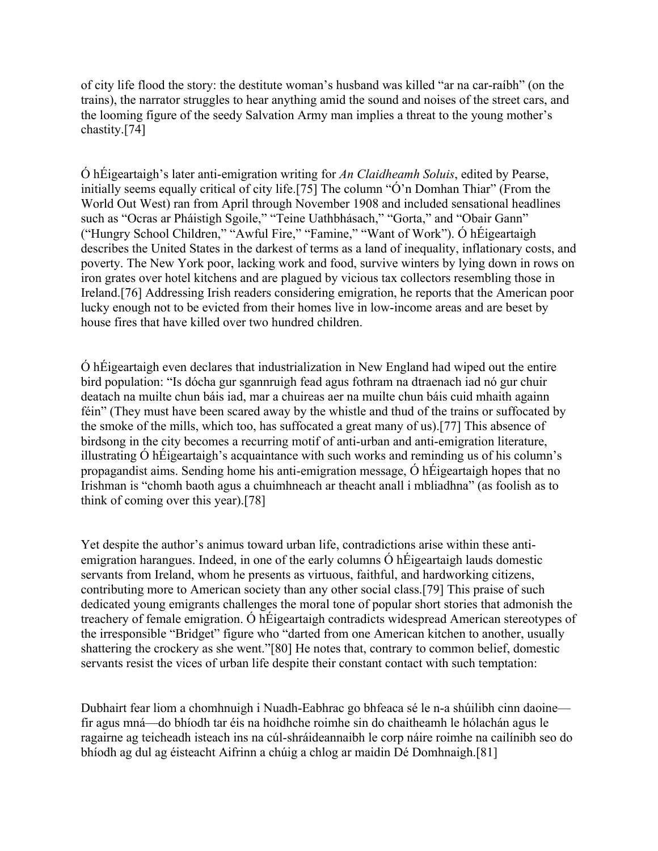of city life flood the story: the destitute woman's husband was killed "ar na car-raíbh" (on the trains), the narrator struggles to hear anything amid the sound and noises of the street cars, and the looming figure of the seedy Salvation Army man implies a threat to the young mother's chastity.[74]

Ó hÉigeartaigh's later anti-emigration writing for *An Claidheamh Soluis*, edited by Pearse, initially seems equally critical of city life.[75] The column "Ó'n Domhan Thiar" (From the World Out West) ran from April through November 1908 and included sensational headlines such as "Ocras ar Pháistigh Sgoile," "Teine Uathbhásach," "Gorta," and "Obair Gann" ("Hungry School Children," "Awful Fire," "Famine," "Want of Work"). Ó hÉigeartaigh describes the United States in the darkest of terms as a land of inequality, inflationary costs, and poverty. The New York poor, lacking work and food, survive winters by lying down in rows on iron grates over hotel kitchens and are plagued by vicious tax collectors resembling those in Ireland.[76] Addressing Irish readers considering emigration, he reports that the American poor lucky enough not to be evicted from their homes live in low-income areas and are beset by house fires that have killed over two hundred children.

Ó hÉigeartaigh even declares that industrialization in New England had wiped out the entire bird population: "Is dócha gur sgannruigh fead agus fothram na dtraenach iad nó gur chuir deatach na muilte chun báis iad, mar a chuireas aer na muilte chun báis cuid mhaith againn féin" (They must have been scared away by the whistle and thud of the trains or suffocated by the smoke of the mills, which too, has suffocated a great many of us).[77] This absence of birdsong in the city becomes a recurring motif of anti-urban and anti-emigration literature, illustrating Ó hÉigeartaigh's acquaintance with such works and reminding us of his column's propagandist aims. Sending home his anti-emigration message, Ó hÉigeartaigh hopes that no Irishman is "chomh baoth agus a chuimhneach ar theacht anall i mbliadhna" (as foolish as to think of coming over this year).[78]

Yet despite the author's animus toward urban life, contradictions arise within these antiemigration harangues. Indeed, in one of the early columns Ó hÉigeartaigh lauds domestic servants from Ireland, whom he presents as virtuous, faithful, and hardworking citizens, contributing more to American society than any other social class.[79] This praise of such dedicated young emigrants challenges the moral tone of popular short stories that admonish the treachery of female emigration. Ó hÉigeartaigh contradicts widespread American stereotypes of the irresponsible "Bridget" figure who "darted from one American kitchen to another, usually shattering the crockery as she went."[80] He notes that, contrary to common belief, domestic servants resist the vices of urban life despite their constant contact with such temptation:

Dubhairt fear liom a chomhnuigh i Nuadh-Eabhrac go bhfeaca sé le n-a shúilibh cinn daoine fir agus mná—do bhíodh tar éis na hoidhche roimhe sin do chaitheamh le hólachán agus le ragairne ag teicheadh isteach ins na cúl-shráideannaibh le corp náire roimhe na cailínibh seo do bhíodh ag dul ag éisteacht Aifrinn a chúig a chlog ar maidin Dé Domhnaigh.[81]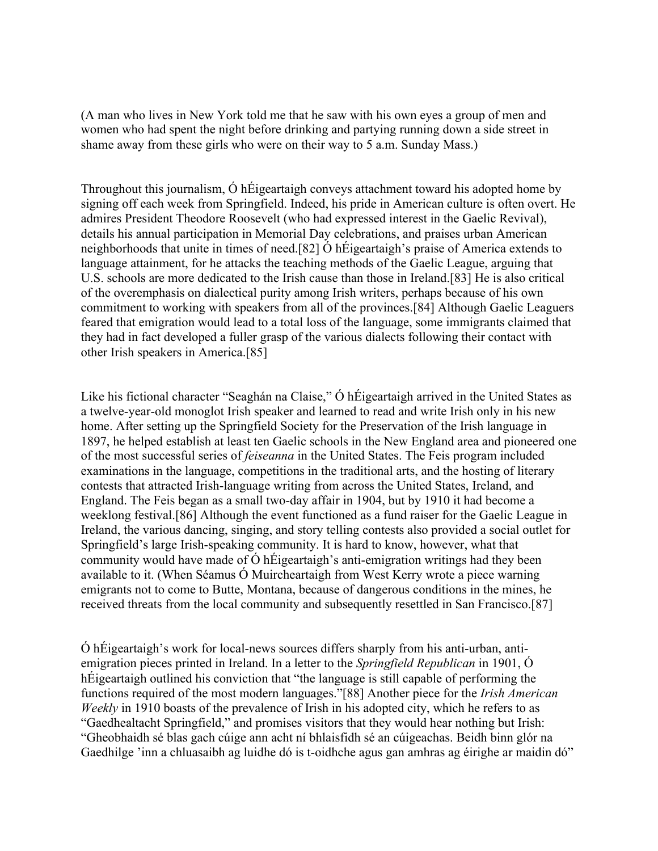(A man who lives in New York told me that he saw with his own eyes a group of men and women who had spent the night before drinking and partying running down a side street in shame away from these girls who were on their way to 5 a.m. Sunday Mass.)

Throughout this journalism, Ó hÉigeartaigh conveys attachment toward his adopted home by signing off each week from Springfield. Indeed, his pride in American culture is often overt. He admires President Theodore Roosevelt (who had expressed interest in the Gaelic Revival), details his annual participation in Memorial Day celebrations, and praises urban American neighborhoods that unite in times of need.[82] Ó hÉigeartaigh's praise of America extends to language attainment, for he attacks the teaching methods of the Gaelic League, arguing that U.S. schools are more dedicated to the Irish cause than those in Ireland.[83] He is also critical of the overemphasis on dialectical purity among Irish writers, perhaps because of his own commitment to working with speakers from all of the provinces.[84] Although Gaelic Leaguers feared that emigration would lead to a total loss of the language, some immigrants claimed that they had in fact developed a fuller grasp of the various dialects following their contact with other Irish speakers in America.[85]

Like his fictional character "Seaghán na Claise," Ó hÉigeartaigh arrived in the United States as a twelve-year-old monoglot Irish speaker and learned to read and write Irish only in his new home. After setting up the Springfield Society for the Preservation of the Irish language in 1897, he helped establish at least ten Gaelic schools in the New England area and pioneered one of the most successful series of *feiseanna* in the United States. The Feis program included examinations in the language, competitions in the traditional arts, and the hosting of literary contests that attracted Irish-language writing from across the United States, Ireland, and England. The Feis began as a small two-day affair in 1904, but by 1910 it had become a weeklong festival.[86] Although the event functioned as a fund raiser for the Gaelic League in Ireland, the various dancing, singing, and story telling contests also provided a social outlet for Springfield's large Irish-speaking community. It is hard to know, however, what that community would have made of Ó hÉigeartaigh's anti-emigration writings had they been available to it. (When Séamus Ó Muircheartaigh from West Kerry wrote a piece warning emigrants not to come to Butte, Montana, because of dangerous conditions in the mines, he received threats from the local community and subsequently resettled in San Francisco.[87]

Ó hÉigeartaigh's work for local-news sources differs sharply from his anti-urban, antiemigration pieces printed in Ireland. In a letter to the *Springfield Republican* in 1901, Ó hÉigeartaigh outlined his conviction that "the language is still capable of performing the functions required of the most modern languages."[88] Another piece for the *Irish American Weekly* in 1910 boasts of the prevalence of Irish in his adopted city, which he refers to as "Gaedhealtacht Springfield," and promises visitors that they would hear nothing but Irish: "Gheobhaidh sé blas gach cúige ann acht ní bhlaisfidh sé an cúigeachas. Beidh binn glór na Gaedhilge 'inn a chluasaibh ag luidhe dó is t-oidhche agus gan amhras ag éirighe ar maidin dó"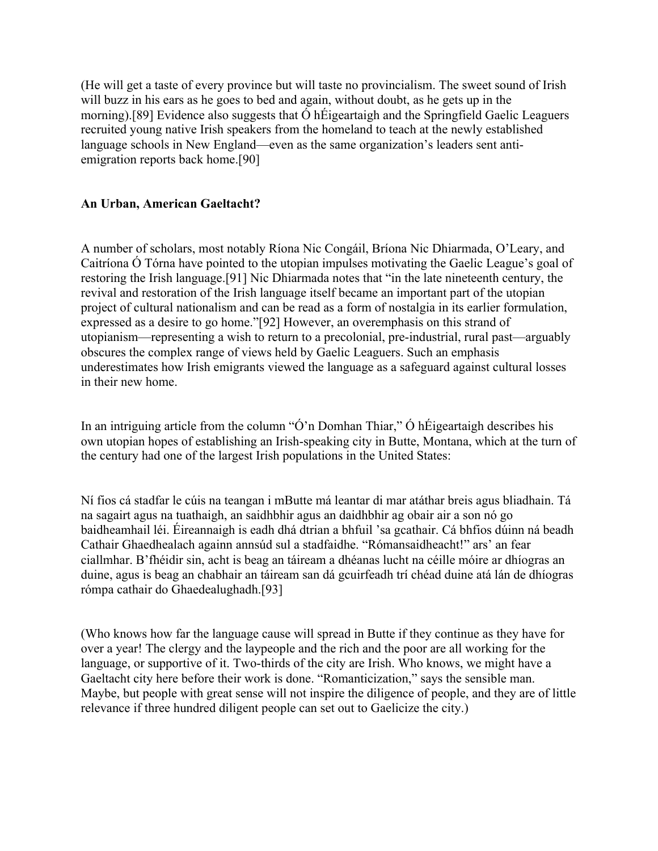(He will get a taste of every province but will taste no provincialism. The sweet sound of Irish will buzz in his ears as he goes to bed and again, without doubt, as he gets up in the morning).[89] Evidence also suggests that Ó hÉigeartaigh and the Springfield Gaelic Leaguers recruited young native Irish speakers from the homeland to teach at the newly established language schools in New England—even as the same organization's leaders sent antiemigration reports back home.[90]

### **An Urban, American Gaeltacht?**

A number of scholars, most notably Ríona Nic Congáil, Bríona Nic Dhiarmada, O'Leary, and Caitríona Ó Tórna have pointed to the utopian impulses motivating the Gaelic League's goal of restoring the Irish language.[91] Nic Dhiarmada notes that "in the late nineteenth century, the revival and restoration of the Irish language itself became an important part of the utopian project of cultural nationalism and can be read as a form of nostalgia in its earlier formulation, expressed as a desire to go home."[92] However, an overemphasis on this strand of utopianism—representing a wish to return to a precolonial, pre-industrial, rural past—arguably obscures the complex range of views held by Gaelic Leaguers. Such an emphasis underestimates how Irish emigrants viewed the language as a safeguard against cultural losses in their new home.

In an intriguing article from the column "Ó'n Domhan Thiar," Ó hÉigeartaigh describes his own utopian hopes of establishing an Irish-speaking city in Butte, Montana, which at the turn of the century had one of the largest Irish populations in the United States:

Ní fios cá stadfar le cúis na teangan i mButte má leantar di mar atáthar breis agus bliadhain. Tá na sagairt agus na tuathaigh, an saidhbhir agus an daidhbhir ag obair air a son nó go baidheamhail léi. Éireannaigh is eadh dhá dtrian a bhfuil 'sa gcathair. Cá bhfios dúinn ná beadh Cathair Ghaedhealach againn annsúd sul a stadfaidhe. "Rómansaidheacht!" ars' an fear ciallmhar. B'fhéidir sin, acht is beag an táiream a dhéanas lucht na céille móire ar dhíogras an duine, agus is beag an chabhair an táiream san dá gcuirfeadh trí chéad duine atá lán de dhíogras rómpa cathair do Ghaedealughadh.[93]

(Who knows how far the language cause will spread in Butte if they continue as they have for over a year! The clergy and the laypeople and the rich and the poor are all working for the language, or supportive of it. Two-thirds of the city are Irish. Who knows, we might have a Gaeltacht city here before their work is done. "Romanticization," says the sensible man. Maybe, but people with great sense will not inspire the diligence of people, and they are of little relevance if three hundred diligent people can set out to Gaelicize the city.)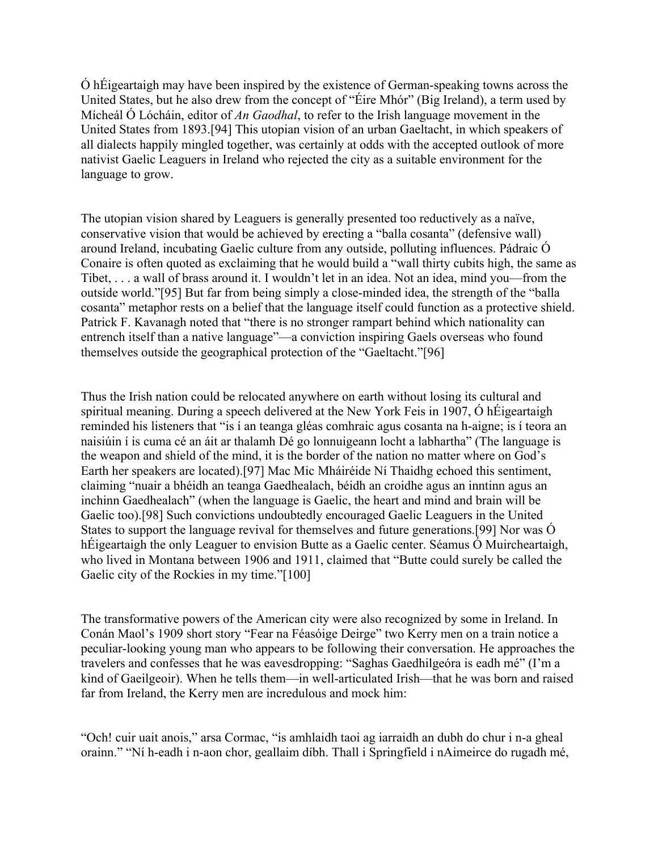Ó hÉigeartaigh may have been inspired by the existence of German-speaking towns across the United States, but he also drew from the concept of "Éire Mhór" (Big Ireland), a term used by Mícheál Ó Lócháin, editor of *An Gaodhal*, to refer to the Irish language movement in the United States from 1893.[94] This utopian vision of an urban Gaeltacht, in which speakers of all dialects happily mingled together, was certainly at odds with the accepted outlook of more nativist Gaelic Leaguers in Ireland who rejected the city as a suitable environment for the language to grow.

The utopian vision shared by Leaguers is generally presented too reductively as a naïve, conservative vision that would be achieved by erecting a "balla cosanta" (defensive wall) around Ireland, incubating Gaelic culture from any outside, polluting influences. Pádraic  $\acute{\text{O}}$ Conaire is often quoted as exclaiming that he would build a "wall thirty cubits high, the same as Tibet, . . . a wall of brass around it. I wouldn't let in an idea. Not an idea, mind you—from the outside world."[95] But far from being simply a close-minded idea, the strength of the "balla cosanta" metaphor rests on a belief that the language itself could function as a protective shield. Patrick F. Kavanagh noted that "there is no stronger rampart behind which nationality can entrench itself than a native language"—a conviction inspiring Gaels overseas who found themselves outside the geographical protection of the "Gaeltacht."[96]

Thus the Irish nation could be relocated anywhere on earth without losing its cultural and spiritual meaning. During a speech delivered at the New York Feis in 1907, Ó hÉigeartaigh reminded his listeners that "is í an teanga gléas comhraic agus cosanta na h-aigne; is í teora an naisiúin í is cuma cé an áit ar thalamh Dé go lonnuigeann locht a labhartha" (The language is the weapon and shield of the mind, it is the border of the nation no matter where on God's Earth her speakers are located).[97] Mac Mic Mháiréide Ní Thaidhg echoed this sentiment, claiming "nuair a bhéidh an teanga Gaedhealach, béidh an croidhe agus an inntinn agus an inchinn Gaedhealach" (when the language is Gaelic, the heart and mind and brain will be Gaelic too).[98] Such convictions undoubtedly encouraged Gaelic Leaguers in the United States to support the language revival for themselves and future generations. [99] Nor was  $\acute{O}$ hÉigeartaigh the only Leaguer to envision Butte as a Gaelic center. Séamus Ó Muircheartaigh, who lived in Montana between 1906 and 1911, claimed that "Butte could surely be called the Gaelic city of the Rockies in my time."[100]

The transformative powers of the American city were also recognized by some in Ireland. In Conán Maol's 1909 short story "Fear na Féasóige Deirge" two Kerry men on a train notice a peculiar-looking young man who appears to be following their conversation. He approaches the travelers and confesses that he was eavesdropping: "Saghas Gaedhilgeóra is eadh mé" (I'm a kind of Gaeilgeoir). When he tells them—in well-articulated Irish—that he was born and raised far from Ireland, the Kerry men are incredulous and mock him:

"Och! cuir uait anois," arsa Cormac, "is amhlaidh taoi ag iarraidh an dubh do chur i n-a gheal orainn." "Ní h-eadh i n-aon chor, geallaim díbh. Thall i Springfield i nAimeirce do rugadh mé,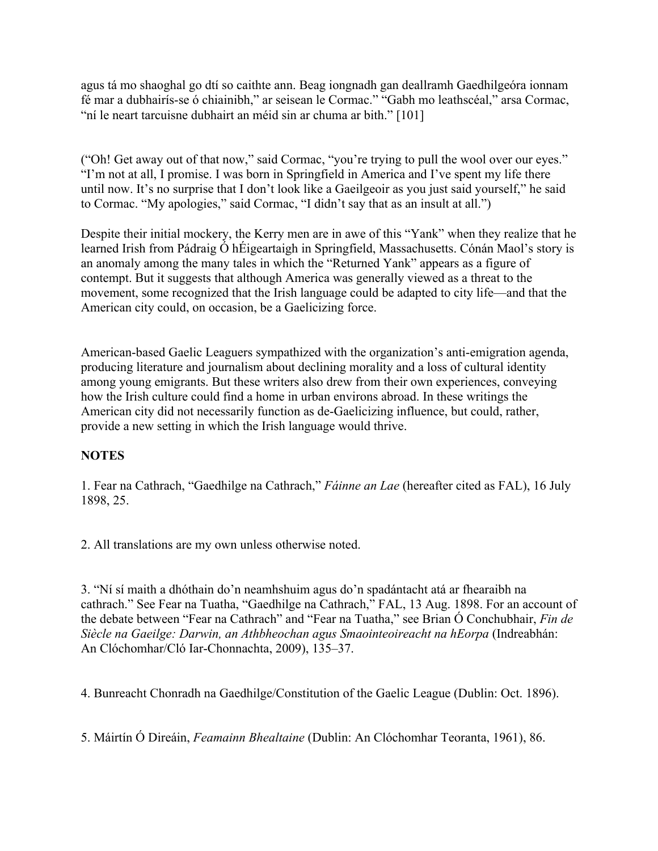agus tá mo shaoghal go dtí so caithte ann. Beag iongnadh gan deallramh Gaedhilgeóra ionnam fé mar a dubhairís-se ó chiainibh," ar seisean le Cormac." "Gabh mo leathscéal," arsa Cormac, "ní le neart tarcuisne dubhairt an méid sin ar chuma ar bith." [101]

("Oh! Get away out of that now," said Cormac, "you're trying to pull the wool over our eyes." "I'm not at all, I promise. I was born in Springfield in America and I've spent my life there until now. It's no surprise that I don't look like a Gaeilgeoir as you just said yourself," he said to Cormac. "My apologies," said Cormac, "I didn't say that as an insult at all.")

Despite their initial mockery, the Kerry men are in awe of this "Yank" when they realize that he learned Irish from Pádraig Ó hÉigeartaigh in Springfield, Massachusetts. Cónán Maol's story is an anomaly among the many tales in which the "Returned Yank" appears as a figure of contempt. But it suggests that although America was generally viewed as a threat to the movement, some recognized that the Irish language could be adapted to city life—and that the American city could, on occasion, be a Gaelicizing force.

American-based Gaelic Leaguers sympathized with the organization's anti-emigration agenda, producing literature and journalism about declining morality and a loss of cultural identity among young emigrants. But these writers also drew from their own experiences, conveying how the Irish culture could find a home in urban environs abroad. In these writings the American city did not necessarily function as de-Gaelicizing influence, but could, rather, provide a new setting in which the Irish language would thrive.

# **NOTES**

1. Fear na Cathrach, "Gaedhilge na Cathrach," *Fáinne an Lae* (hereafter cited as FAL), 16 July 1898, 25.

2. All translations are my own unless otherwise noted.

3. "Ní sí maith a dhóthain do'n neamhshuim agus do'n spadántacht atá ar fhearaibh na cathrach." See Fear na Tuatha, "Gaedhilge na Cathrach," FAL, 13 Aug. 1898. For an account of the debate between "Fear na Cathrach" and "Fear na Tuatha," see Brian Ó Conchubhair, *Fin de Siècle na Gaeilge: Darwin, an Athbheochan agus Smaointeoireacht na hEorpa* (Indreabhán: An Clóchomhar/Cló Iar-Chonnachta, 2009), 135–37.

4. Bunreacht Chonradh na Gaedhilge/Constitution of the Gaelic League (Dublin: Oct. 1896).

5. Máirtín Ó Direáin, *Feamainn Bhealtaine* (Dublin: An Clóchomhar Teoranta, 1961), 86.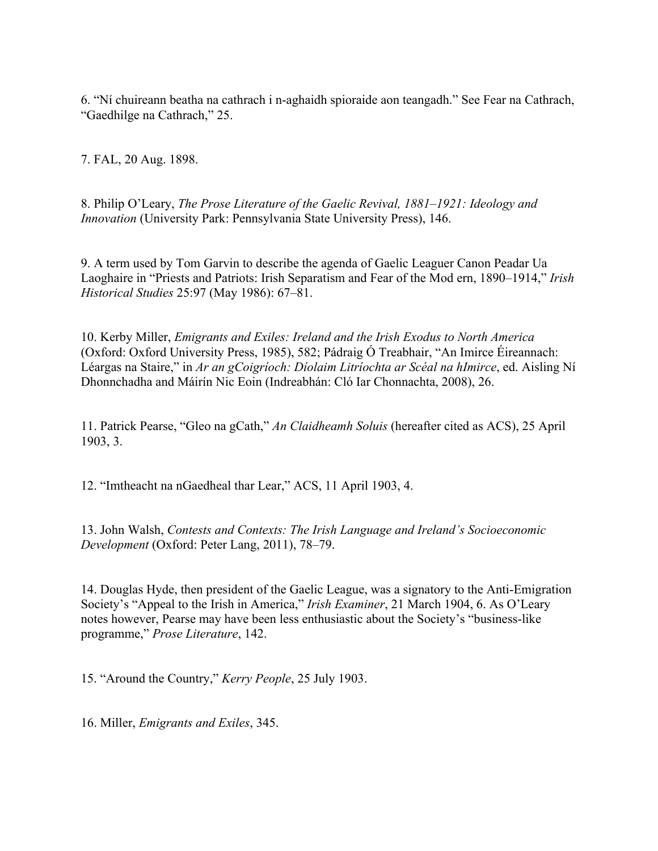6. "Ní chuireann beatha na cathrach i n-aghaidh spioraide aon teangadh." See Fear na Cathrach, "Gaedhilge na Cathrach," 25.

7. FAL, 20 Aug. 1898.

8. Philip O'Leary, *The Prose Literature of the Gaelic Revival, 1881–1921: Ideology and Innovation* (University Park: Pennsylvania State University Press), 146.

9. A term used by Tom Garvin to describe the agenda of Gaelic Leaguer Canon Peadar Ua Laoghaire in "Priests and Patriots: Irish Separatism and Fear of the Mod ern, 1890–1914," *Irish Historical Studies* 25:97 (May 1986): 67–81.

10. Kerby Miller, *Emigrants and Exiles: Ireland and the Irish Exodus to North America* (Oxford: Oxford University Press, 1985), 582; Pádraig Ó Treabhair, "An Imirce Éireannach: Léargas na Staire," in *Ar an gCoigríoch: Díolaim Litríochta ar Scéal na hImirce*, ed. Aisling Ní Dhonnchadha and Máirín Nic Eoin (Indreabhán: Cló Iar Chonnachta, 2008), 26.

11. Patrick Pearse, "Gleo na gCath," *An Claidheamh Soluis* (hereafter cited as ACS), 25 April 1903, 3.

12. "Imtheacht na nGaedheal thar Lear," ACS, 11 April 1903, 4.

13. John Walsh, *Contests and Contexts: The Irish Language and Ireland's Socioeconomic Development* (Oxford: Peter Lang, 2011), 78–79.

14. Douglas Hyde, then president of the Gaelic League, was a signatory to the Anti-Emigration Society's "Appeal to the Irish in America," *Irish Examiner*, 21 March 1904, 6. As O'Leary notes however, Pearse may have been less enthusiastic about the Society's "business-like programme," *Prose Literature*, 142.

15. "Around the Country," *Kerry People*, 25 July 1903.

16. Miller, *Emigrants and Exiles*, 345.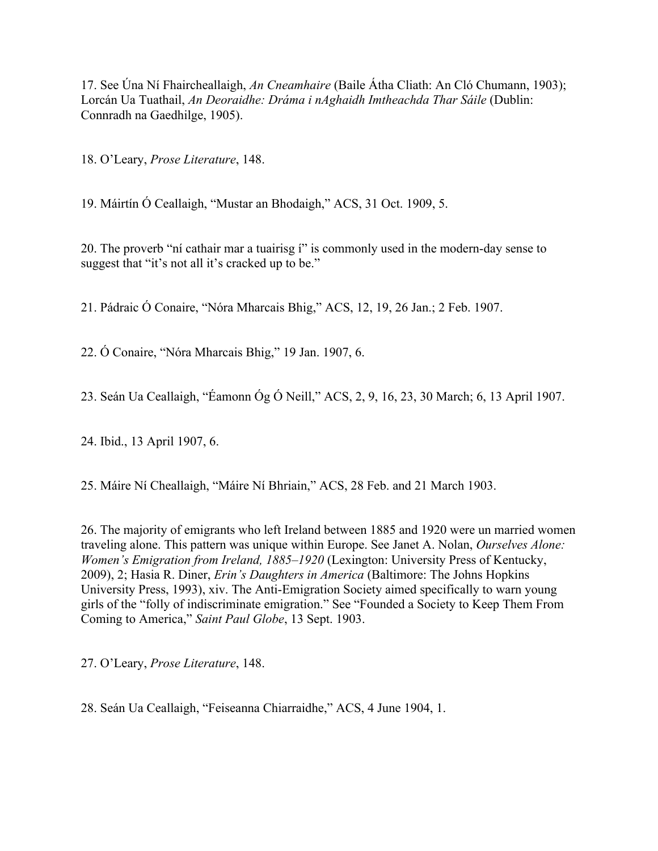17. See Úna Ní Fhaircheallaigh, *An Cneamhaire* (Baile Átha Cliath: An Cló Chumann, 1903); Lorcán Ua Tuathail, *An Deoraidhe: Dráma i nAghaidh Imtheachda Thar Sáile* (Dublin: Connradh na Gaedhilge, 1905).

18. O'Leary, *Prose Literature*, 148.

19. Máirtín Ó Ceallaigh, "Mustar an Bhodaigh," ACS, 31 Oct. 1909, 5.

20. The proverb "ní cathair mar a tuairisg í" is commonly used in the modern-day sense to suggest that "it's not all it's cracked up to be."

21. Pádraic Ó Conaire, "Nóra Mharcais Bhig," ACS, 12, 19, 26 Jan.; 2 Feb. 1907.

22. Ó Conaire, "Nóra Mharcais Bhig," 19 Jan. 1907, 6.

23. Seán Ua Ceallaigh, "Éamonn Óg Ó Neill," ACS, 2, 9, 16, 23, 30 March; 6, 13 April 1907.

24. Ibid., 13 April 1907, 6.

25. Máire Ní Cheallaigh, "Máire Ní Bhriain," ACS, 28 Feb. and 21 March 1903.

26. The majority of emigrants who left Ireland between 1885 and 1920 were un married women traveling alone. This pattern was unique within Europe. See Janet A. Nolan, *Ourselves Alone: Women's Emigration from Ireland, 1885–1920* (Lexington: University Press of Kentucky, 2009), 2; Hasia R. Diner, *Erin's Daughters in America* (Baltimore: The Johns Hopkins University Press, 1993), xiv. The Anti-Emigration Society aimed specifically to warn young girls of the "folly of indiscriminate emigration." See "Founded a Society to Keep Them From Coming to America," *Saint Paul Globe*, 13 Sept. 1903.

27. O'Leary, *Prose Literature*, 148.

28. Seán Ua Ceallaigh, "Feiseanna Chiarraidhe," ACS, 4 June 1904, 1.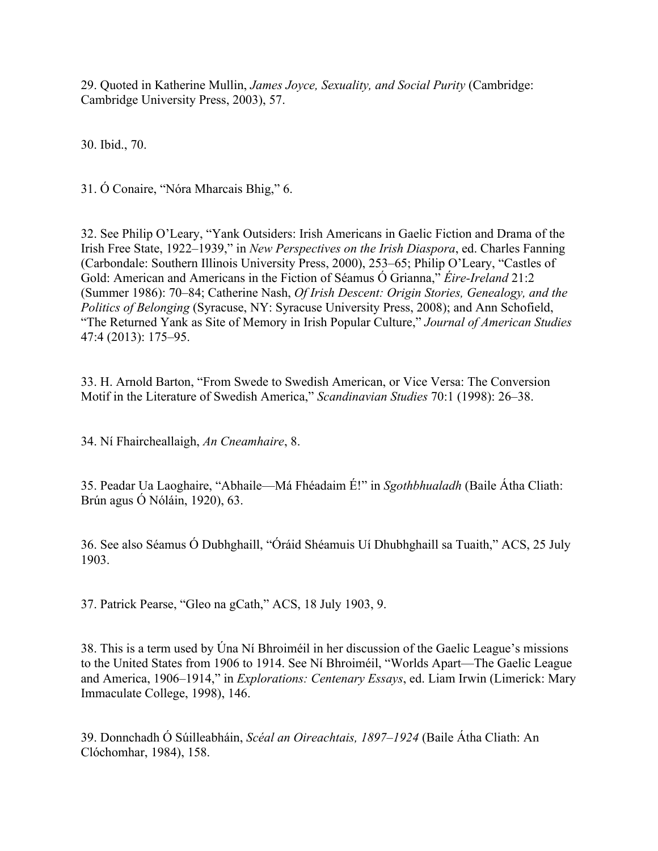29. Quoted in Katherine Mullin, *James Joyce, Sexuality, and Social Purity* (Cambridge: Cambridge University Press, 2003), 57.

30. Ibid., 70.

31. Ó Conaire, "Nóra Mharcais Bhig," 6.

32. See Philip O'Leary, "Yank Outsiders: Irish Americans in Gaelic Fiction and Drama of the Irish Free State, 1922–1939," in *New Perspectives on the Irish Diaspora*, ed. Charles Fanning (Carbondale: Southern Illinois University Press, 2000), 253–65; Philip O'Leary, "Castles of Gold: American and Americans in the Fiction of Séamus Ó Grianna," *Éire-Ireland* 21:2 (Summer 1986): 70–84; Catherine Nash, *Of Irish Descent: Origin Stories, Genealogy, and the Politics of Belonging* (Syracuse, NY: Syracuse University Press, 2008); and Ann Schofield, "The Returned Yank as Site of Memory in Irish Popular Culture," *Journal of American Studies* 47:4 (2013): 175–95.

33. H. Arnold Barton, "From Swede to Swedish American, or Vice Versa: The Conversion Motif in the Literature of Swedish America," *Scandinavian Studies* 70:1 (1998): 26–38.

34. Ní Fhaircheallaigh, *An Cneamhaire*, 8.

35. Peadar Ua Laoghaire, "Abhaile—Má Fhéadaim É!" in *Sgothbhualadh* (Baile Átha Cliath: Brún agus Ó Nóláin, 1920), 63.

36. See also Séamus Ó Dubhghaill, "Óráid Shéamuis Uí Dhubhghaill sa Tuaith," ACS, 25 July 1903.

37. Patrick Pearse, "Gleo na gCath," ACS, 18 July 1903, 9.

38. This is a term used by Úna Ní Bhroiméil in her discussion of the Gaelic League's missions to the United States from 1906 to 1914. See Ní Bhroiméil, "Worlds Apart—The Gaelic League and America, 1906–1914," in *Explorations: Centenary Essays*, ed. Liam Irwin (Limerick: Mary Immaculate College, 1998), 146.

39. Donnchadh Ó Súilleabháin, *Scéal an Oireachtais, 1897–1924* (Baile Átha Cliath: An Clóchomhar, 1984), 158.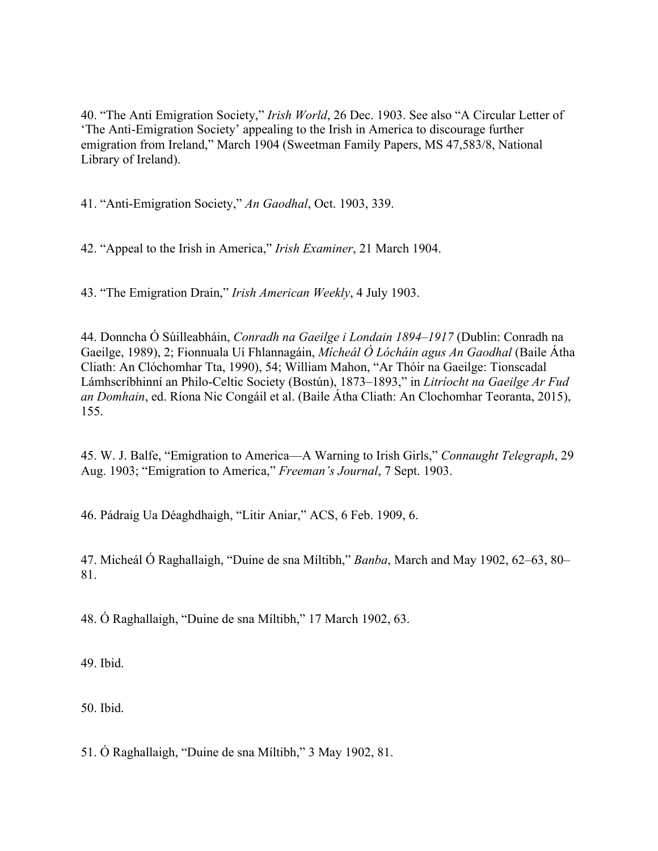40. "The Anti Emigration Society," *Irish World*, 26 Dec. 1903. See also "A Circular Letter of 'The Anti-Emigration Society' appealing to the Irish in America to discourage further emigration from Ireland," March 1904 (Sweetman Family Papers, MS 47,583/8, National Library of Ireland).

41. "Anti-Emigration Society," *An Gaodhal*, Oct. 1903, 339.

42. "Appeal to the Irish in America," *Irish Examiner*, 21 March 1904.

43. "The Emigration Drain," *Irish American Weekly*, 4 July 1903.

44. Donncha Ó Súilleabháin, *Conradh na Gaeilge i Londain 1894–1917* (Dublin: Conradh na Gaeilge, 1989), 2; Fionnuala Uí Fhlannagáin, *Mícheál Ó Lócháin agus An Gaodhal* (Baile Átha Cliath: An Clóchomhar Tta, 1990), 54; William Mahon, "Ar Thóir na Gaeilge: Tionscadal Lámhscríbhinní an Philo-Celtic Society (Bostún), 1873–1893," in *Litríocht na Gaeilge Ar Fud an Domhain*, ed. Ríona Nic Congáil et al. (Baile Átha Cliath: An Clochomhar Teoranta, 2015), 155.

45. W. J. Balfe, "Emigration to America—A Warning to Irish Girls," *Connaught Telegraph*, 29 Aug. 1903; "Emigration to America," *Freeman's Journal*, 7 Sept. 1903.

46. Pádraig Ua Déaghdhaigh, "Litir Aniar," ACS, 6 Feb. 1909, 6.

47. Micheál Ó Raghallaigh, "Duine de sna Míltibh," *Banba*, March and May 1902, 62–63, 80– 81.

48. Ó Raghallaigh, "Duine de sna Míltibh," 17 March 1902, 63.

49. Ibid.

50. Ibid.

51. Ó Raghallaigh, "Duine de sna Míltibh," 3 May 1902, 81.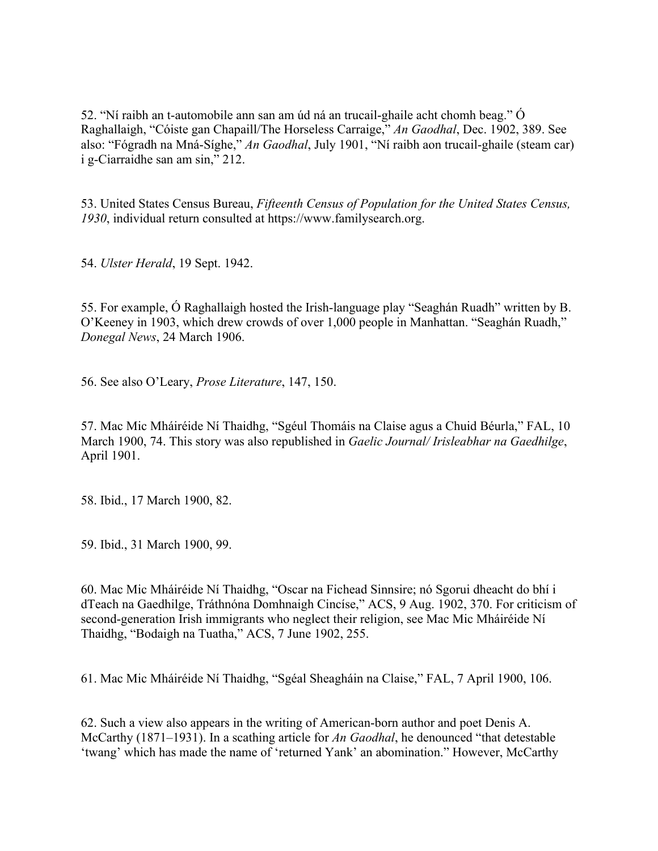52. "Ní raibh an t-automobile ann san am úd ná an trucail-ghaile acht chomh beag." Ó Raghallaigh, "Cóiste gan Chapaill/The Horseless Carraige," *An Gaodhal*, Dec. 1902, 389. See also: "Fógradh na Mná-Síghe," *An Gaodhal*, July 1901, "Ní raibh aon trucail-ghaile (steam car) i g-Ciarraidhe san am sin," 212.

53. United States Census Bureau, *Fifteenth Census of Population for the United States Census, 1930*, individual return consulted at https://www.familysearch.org.

54. *Ulster Herald*, 19 Sept. 1942.

55. For example, Ó Raghallaigh hosted the Irish-language play "Seaghán Ruadh" written by B. O'Keeney in 1903, which drew crowds of over 1,000 people in Manhattan. "Seaghán Ruadh," *Donegal News*, 24 March 1906.

56. See also O'Leary, *Prose Literature*, 147, 150.

57. Mac Mic Mháiréide Ní Thaidhg, "Sgéul Thomáis na Claise agus a Chuid Béurla," FAL, 10 March 1900, 74. This story was also republished in *Gaelic Journal/ Irisleabhar na Gaedhilge*, April 1901.

58. Ibid., 17 March 1900, 82.

59. Ibid., 31 March 1900, 99.

60. Mac Mic Mháiréide Ní Thaidhg, "Oscar na Fichead Sinnsire; nó Sgorui dheacht do bhí i dTeach na Gaedhilge, Tráthnóna Domhnaigh Cincíse," ACS, 9 Aug. 1902, 370. For criticism of second-generation Irish immigrants who neglect their religion, see Mac Mic Mháiréide Ní Thaidhg, "Bodaigh na Tuatha," ACS, 7 June 1902, 255.

61. Mac Mic Mháiréide Ní Thaidhg, "Sgéal Sheagháin na Claise," FAL, 7 April 1900, 106.

62. Such a view also appears in the writing of American-born author and poet Denis A. McCarthy (1871–1931). In a scathing article for *An Gaodhal*, he denounced "that detestable 'twang' which has made the name of 'returned Yank' an abomination." However, McCarthy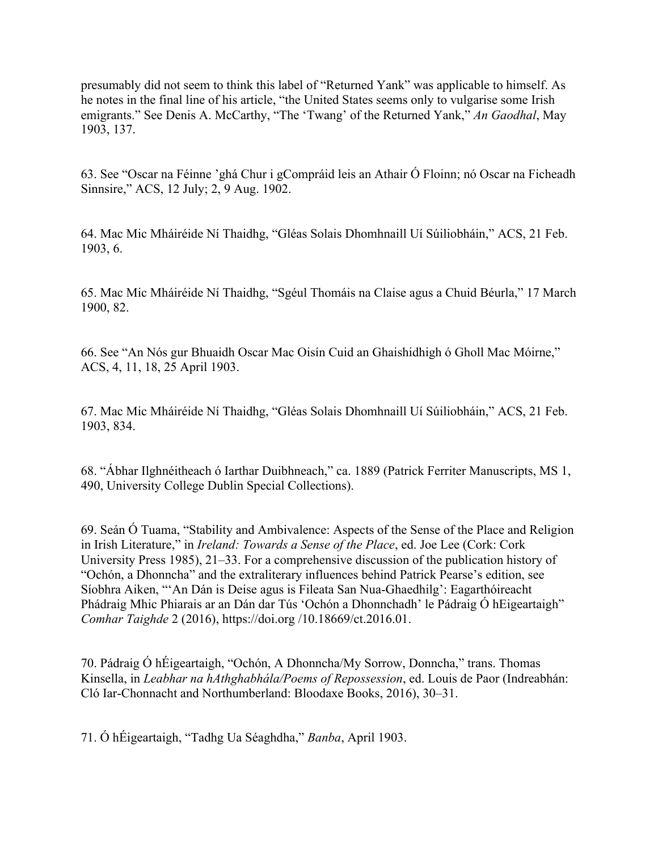presumably did not seem to think this label of "Returned Yank" was applicable to himself. As he notes in the final line of his article, "the United States seems only to vulgarise some Irish emigrants." See Denis A. McCarthy, "The 'Twang' of the Returned Yank," *An Gaodhal*, May 1903, 137.

63. See "Oscar na Féinne 'ghá Chur i gCompráid leis an Athair Ó Floinn; nó Oscar na Ficheadh Sinnsire," ACS, 12 July; 2, 9 Aug. 1902.

64. Mac Mic Mháiréide Ní Thaidhg, "Gléas Solais Dhomhnaill Uí Súiliobháin," ACS, 21 Feb. 1903, 6.

65. Mac Mic Mháiréide Ní Thaidhg, "Sgéul Thomáis na Claise agus a Chuid Béurla," 17 March 1900, 82.

66. See "An Nós gur Bhuaidh Oscar Mac Oisín Cuid an Ghaishidhigh ó Gholl Mac Móirne," ACS, 4, 11, 18, 25 April 1903.

67. Mac Mic Mháiréide Ní Thaidhg, "Gléas Solais Dhomhnaill Uí Súiliobháin," ACS, 21 Feb. 1903, 834.

68. "Ábhar Ilghnéitheach ó Iarthar Duibhneach," ca. 1889 (Patrick Ferriter Manuscripts, MS 1, 490, University College Dublin Special Collections).

69. Seán Ó Tuama, "Stability and Ambivalence: Aspects of the Sense of the Place and Religion in Irish Literature," in *Ireland: Towards a Sense of the Place*, ed. Joe Lee (Cork: Cork University Press 1985), 21–33. For a comprehensive discussion of the publication history of "Ochón, a Dhonncha" and the extraliterary influences behind Patrick Pearse's edition, see Síobhra Aiken, "'An Dán is Deise agus is Fileata San Nua-Ghaedhilg': Eagarthóireacht Phádraig Mhic Phiarais ar an Dán dar Tús 'Ochón a Dhonnchadh' le Pádraig Ó hEigeartaigh" *Comhar Taighde* 2 (2016), https://doi.org /10.18669/ct.2016.01.

70. Pádraig Ó hÉigeartaigh, "Ochón, A Dhonncha/My Sorrow, Donncha," trans. Thomas Kinsella, in *Leabhar na hAthghabhála/Poems of Repossession*, ed. Louis de Paor (Indreabhán: Cló Iar-Chonnacht and Northumberland: Bloodaxe Books, 2016), 30–31.

71. Ó hÉigeartaigh, "Tadhg Ua Séaghdha," *Banba*, April 1903.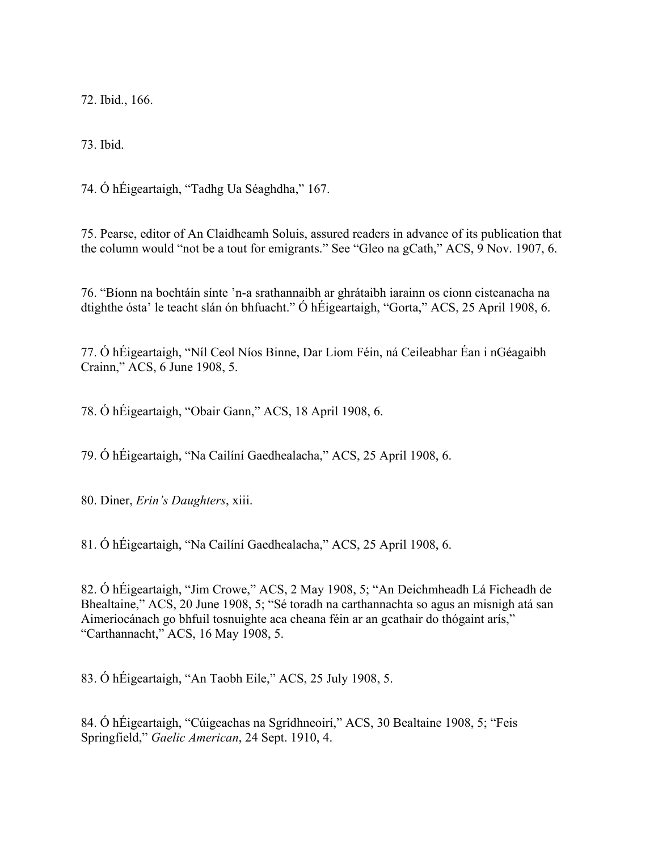72. Ibid., 166.

73. Ibid.

74. Ó hÉigeartaigh, "Tadhg Ua Séaghdha," 167.

75. Pearse, editor of An Claidheamh Soluis, assured readers in advance of its publication that the column would "not be a tout for emigrants." See "Gleo na gCath," ACS, 9 Nov. 1907, 6.

76. "Bíonn na bochtáin sínte 'n-a srathannaibh ar ghrátaibh iarainn os cionn cisteanacha na dtighthe ósta' le teacht slán ón bhfuacht." Ó hÉigeartaigh, "Gorta," ACS, 25 April 1908, 6.

77. Ó hÉigeartaigh, "Níl Ceol Níos Binne, Dar Liom Féin, ná Ceileabhar Éan i nGéagaibh Crainn," ACS, 6 June 1908, 5.

78. Ó hÉigeartaigh, "Obair Gann," ACS, 18 April 1908, 6.

79. Ó hÉigeartaigh, "Na Cailíní Gaedhealacha," ACS, 25 April 1908, 6.

80. Diner, *Erin's Daughters*, xiii.

81. Ó hÉigeartaigh, "Na Cailíní Gaedhealacha," ACS, 25 April 1908, 6.

82. Ó hÉigeartaigh, "Jim Crowe," ACS, 2 May 1908, 5; "An Deichmheadh Lá Ficheadh de Bhealtaine," ACS, 20 June 1908, 5; "Sé toradh na carthannachta so agus an misnigh atá san Aimeriocánach go bhfuil tosnuighte aca cheana féin ar an gcathair do thógaint arís," "Carthannacht," ACS, 16 May 1908, 5.

83. Ó hÉigeartaigh, "An Taobh Eile," ACS, 25 July 1908, 5.

84. Ó hÉigeartaigh, "Cúigeachas na Sgrídhneoirí," ACS, 30 Bealtaine 1908, 5; "Feis Springfield," *Gaelic American*, 24 Sept. 1910, 4.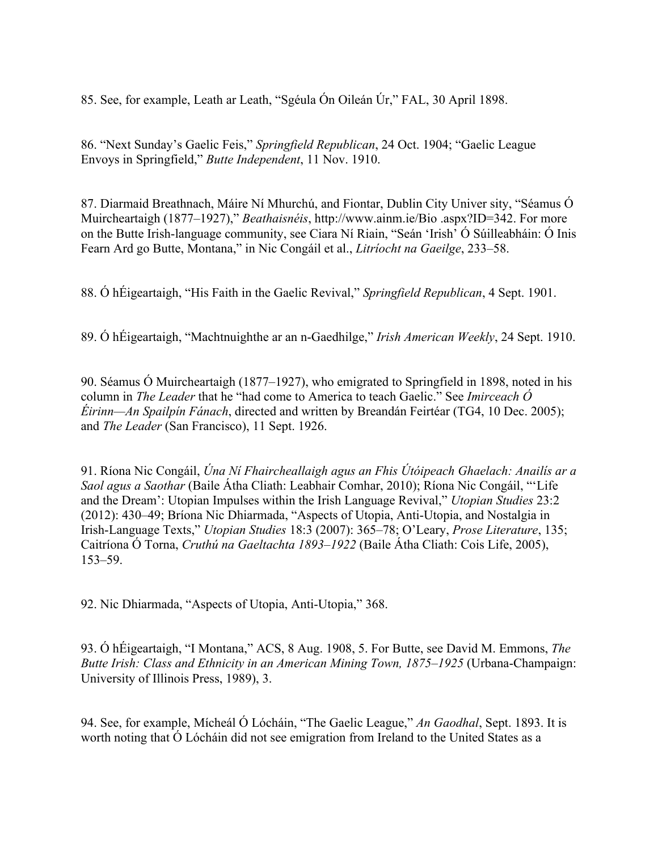85. See, for example, Leath ar Leath, "Sgéula Ón Oileán Úr," FAL, 30 April 1898.

86. "Next Sunday's Gaelic Feis," *Springfield Republican*, 24 Oct. 1904; "Gaelic League Envoys in Springfield," *Butte Independent*, 11 Nov. 1910.

87. Diarmaid Breathnach, Máire Ní Mhurchú, and Fiontar, Dublin City Univer sity, "Séamus Ó Muircheartaigh (1877–1927)," *Beathaisnéis*, http://www.ainm.ie/Bio .aspx?ID=342. For more on the Butte Irish-language community, see Ciara Ní Riain, "Seán 'Irish' Ó Súilleabháin: Ó Inis Fearn Ard go Butte, Montana," in Nic Congáil et al., *Litríocht na Gaeilge*, 233–58.

88. Ó hÉigeartaigh, "His Faith in the Gaelic Revival," *Springfield Republican*, 4 Sept. 1901.

89. Ó hÉigeartaigh, "Machtnuighthe ar an n-Gaedhilge," *Irish American Weekly*, 24 Sept. 1910.

90. Séamus Ó Muircheartaigh (1877–1927), who emigrated to Springfield in 1898, noted in his column in *The Leader* that he "had come to America to teach Gaelic." See *Imirceach Ó Éirinn—An Spailpín Fánach*, directed and written by Breandán Feirtéar (TG4, 10 Dec. 2005); and *The Leader* (San Francisco), 11 Sept. 1926.

91. Ríona Nic Congáil, *Úna Ní Fhaircheallaigh agus an Fhis Útóipeach Ghaelach: Anailís ar a Saol agus a Saothar* (Baile Átha Cliath: Leabhair Comhar, 2010); Ríona Nic Congáil, "'Life and the Dream': Utopian Impulses within the Irish Language Revival," *Utopian Studies* 23:2 (2012): 430–49; Bríona Nic Dhiarmada, "Aspects of Utopia, Anti-Utopia, and Nostalgia in Irish-Language Texts," *Utopian Studies* 18:3 (2007): 365–78; O'Leary, *Prose Literature*, 135; Caitríona Ó Torna, *Cruthú na Gaeltachta 1893–1922* (Baile Átha Cliath: Cois Life, 2005), 153–59.

92. Nic Dhiarmada, "Aspects of Utopia, Anti-Utopia," 368.

93. Ó hÉigeartaigh, "I Montana," ACS, 8 Aug. 1908, 5. For Butte, see David M. Emmons, *The Butte Irish: Class and Ethnicity in an American Mining Town, 1875–1925* (Urbana-Champaign: University of Illinois Press, 1989), 3.

94. See, for example, Mícheál Ó Lócháin, "The Gaelic League," *An Gaodhal*, Sept. 1893. It is worth noting that Ó Lócháin did not see emigration from Ireland to the United States as a